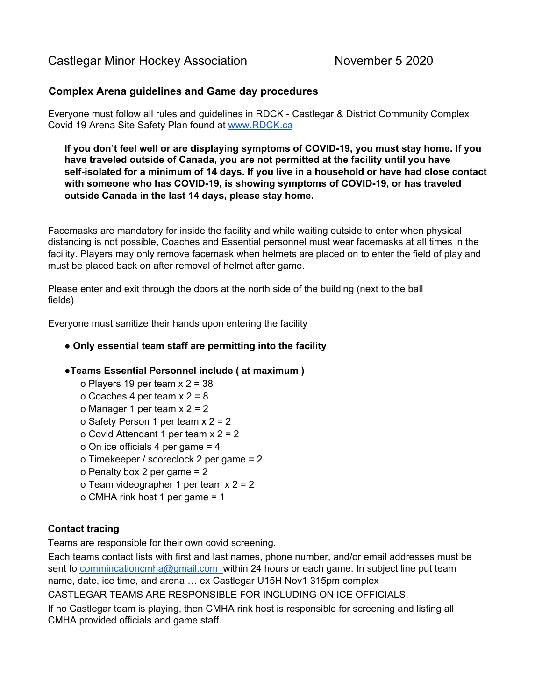# **Complex Arena guidelines and Game day procedures**

Everyone must follow all rules and guidelines in RDCK - Castlegar & District Community Complex Covid 19 Arena Site Safety Plan found at [www.RDCK.ca](https://rdck.ca/EN/main/services/recreation/covid-19-safety-plans-guidelines.html)

**If you don't feel well or are displaying symptoms of COVID-19, you must stay home. If you have traveled outside of Canada, you are not permitted at the facility until you have self-isolated for a minimum of 14 days. If you live in a household or have had close contact with someone who has COVID-19, is showing symptoms of COVID-19, or has traveled outside Canada in the last 14 days, please stay home.**

Facemasks are mandatory for inside the facility and while waiting outside to enter when physical distancing is not possible, Coaches and Essential personnel must wear facemasks at all times in the facility. Players may only remove facemask when helmets are placed on to enter the field of play and must be placed back on after removal of helmet after game.

Please enter and exit through the doors at the north side of the building (next to the ball fields)

Everyone must sanitize their hands upon entering the facility

# ● **Only essential team staff are permitting into the facility**

### ●**Teams Essential Personnel include ( at maximum )**

- o Players 19 per team x 2 = 38
- o Coaches 4 per team x 2 = 8
- o Manager 1 per team  $x$  2 = 2
- o Safety Person 1 per team x 2 = 2
- o Covid Attendant 1 per team x 2 = 2
- o On ice officials 4 per game = 4
- o Timekeeper / scoreclock 2 per game = 2
- o Penalty box 2 per game = 2
- o Team videographer 1 per team x 2 = 2
- o CMHA rink host 1 per game = 1

### **Contact tracing**

Teams are responsible for their own covid screening.

Each teams contact lists with first and last names, phone number, and/or email addresses must be sent to [commincationcmha@gmail.com](mailto:commincationcmha@gmail.com) within 24 hours or each game. In subject line put team name, date, ice time, and arena … ex Castlegar U15H Nov1 315pm complex

CASTLEGAR TEAMS ARE RESPONSIBLE FOR INCLUDING ON ICE OFFICIALS.

If no Castlegar team is playing, then CMHA rink host is responsible for screening and listing all CMHA provided officials and game staff.